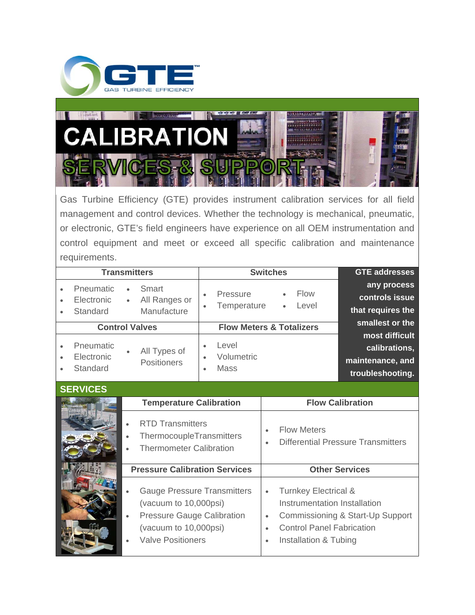



Gas Turbine Efficiency (GTE) provides instrument calibration services for all field management and control devices. Whether the technology is mechanical, pneumatic, or electronic, GTE's field engineers have experience on all OEM instrumentation and control equipment and meet or exceed all specific calibration and maintenance requirements.

| <b>GTE addresses</b>                               | <b>Switches</b>                                                           |                        | <b>Transmitters</b>                   |           |                                            |           |
|----------------------------------------------------|---------------------------------------------------------------------------|------------------------|---------------------------------------|-----------|--------------------------------------------|-----------|
| any process<br>controls issue<br>that requires the | <b>Flow</b><br>Pressure<br>$\bullet$<br>Temperature<br>Level<br>$\bullet$ | $\bullet$<br>$\bullet$ | Smart<br>All Ranges or<br>Manufacture | $\bullet$ | Pneumatic<br>Electronic<br><b>Standard</b> |           |
| smallest or the                                    | <b>Flow Meters &amp; Totalizers</b>                                       |                        | <b>Control Valves</b>                 |           |                                            |           |
| most difficult                                     |                                                                           |                        |                                       |           |                                            |           |
| calibrations,                                      |                                                                           | $\bullet$              | All Types of                          |           | Pneumatic                                  |           |
| maintenance, and                                   | Volumetric                                                                | $\bullet$              | <b>Positioners</b>                    |           | Electronic                                 | $\bullet$ |
| troubleshooting.                                   |                                                                           | $\bullet$              |                                       |           | Standard                                   |           |

|                                                                                                                                                                    | u vuultsilluuliig.                                                                                                                                                                         |
|--------------------------------------------------------------------------------------------------------------------------------------------------------------------|--------------------------------------------------------------------------------------------------------------------------------------------------------------------------------------------|
|                                                                                                                                                                    |                                                                                                                                                                                            |
| <b>Temperature Calibration</b>                                                                                                                                     | <b>Flow Calibration</b>                                                                                                                                                                    |
| <b>RTD Transmitters</b><br>ThermocoupleTransmitters<br><b>Thermometer Calibration</b>                                                                              | <b>Flow Meters</b><br><b>Differential Pressure Transmitters</b>                                                                                                                            |
| <b>Pressure Calibration Services</b>                                                                                                                               | <b>Other Services</b>                                                                                                                                                                      |
| <b>Gauge Pressure Transmitters</b><br>(vacuum to 10,000psi)<br><b>Pressure Gauge Calibration</b><br>$\bullet$<br>(vacuum to 10,000psi)<br><b>Valve Positioners</b> | <b>Turnkey Electrical &amp;</b><br>$\bullet$<br>Instrumentation Installation<br>Commissioning & Start-Up Support<br>$\bullet$<br><b>Control Panel Fabrication</b><br>Installation & Tubing |
|                                                                                                                                                                    |                                                                                                                                                                                            |